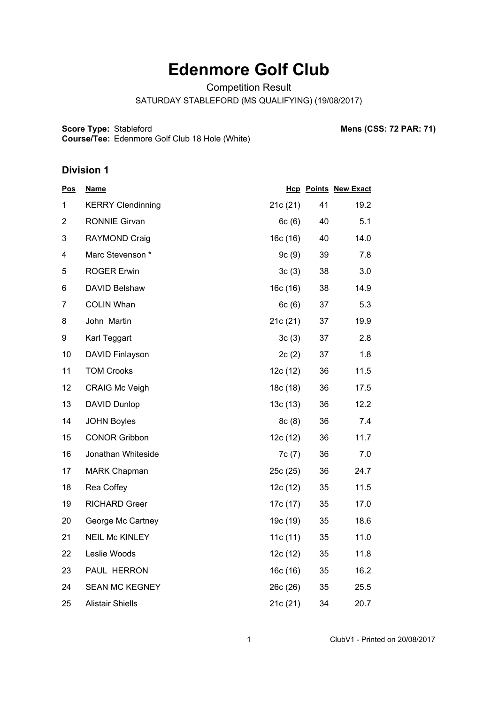# **Edenmore Golf Club**

Competition Result

SATURDAY STABLEFORD (MS QUALIFYING) (19/08/2017)

**Score Type:**

**Course/Tee:** Edenmore Golf Club 18 Hole (White)

Stableford **Mens (CSS: 72 PAR: 71)**

#### **Division 1**

| <u>Pos</u>     | <b>Name</b>              |          |    | <b>Hcp Points New Exact</b> |
|----------------|--------------------------|----------|----|-----------------------------|
| 1              | <b>KERRY Clendinning</b> | 21c (21) | 41 | 19.2                        |
| $\overline{2}$ | <b>RONNIE Girvan</b>     | 6c(6)    | 40 | 5.1                         |
| 3              | RAYMOND Craig            | 16c (16) | 40 | 14.0                        |
| 4              | Marc Stevenson *         | 9c(9)    | 39 | 7.8                         |
| 5              | <b>ROGER Erwin</b>       | 3c(3)    | 38 | 3.0                         |
| 6              | DAVID Belshaw            | 16c (16) | 38 | 14.9                        |
| $\overline{7}$ | <b>COLIN Whan</b>        | 6c(6)    | 37 | 5.3                         |
| 8              | John Martin              | 21c(21)  | 37 | 19.9                        |
| 9              | Karl Teggart             | 3c(3)    | 37 | 2.8                         |
| 10             | DAVID Finlayson          | 2c(2)    | 37 | 1.8                         |
| 11             | <b>TOM Crooks</b>        | 12c (12) | 36 | 11.5                        |
| 12             | <b>CRAIG Mc Veigh</b>    | 18c (18) | 36 | 17.5                        |
| 13             | DAVID Dunlop             | 13c(13)  | 36 | 12.2                        |
| 14             | <b>JOHN Boyles</b>       | 8c(8)    | 36 | 7.4                         |
| 15             | <b>CONOR Gribbon</b>     | 12c (12) | 36 | 11.7                        |
| 16             | Jonathan Whiteside       | 7c(7)    | 36 | 7.0                         |
| 17             | MARK Chapman             | 25c (25) | 36 | 24.7                        |
| 18             | Rea Coffey               | 12c(12)  | 35 | 11.5                        |
| 19             | <b>RICHARD Greer</b>     | 17c (17) | 35 | 17.0                        |
| 20             | George Mc Cartney        | 19c (19) | 35 | 18.6                        |
| 21             | <b>NEIL Mc KINLEY</b>    | 11c(11)  | 35 | 11.0                        |
| 22             | Leslie Woods             | 12c (12) | 35 | 11.8                        |
| 23             | PAUL HERRON              | 16c(16)  | 35 | 16.2                        |
| 24             | <b>SEAN MC KEGNEY</b>    | 26c (26) | 35 | 25.5                        |
| 25             | <b>Alistair Shiells</b>  | 21c(21)  | 34 | 20.7                        |

1 ClubV1 - Printed on 20/08/2017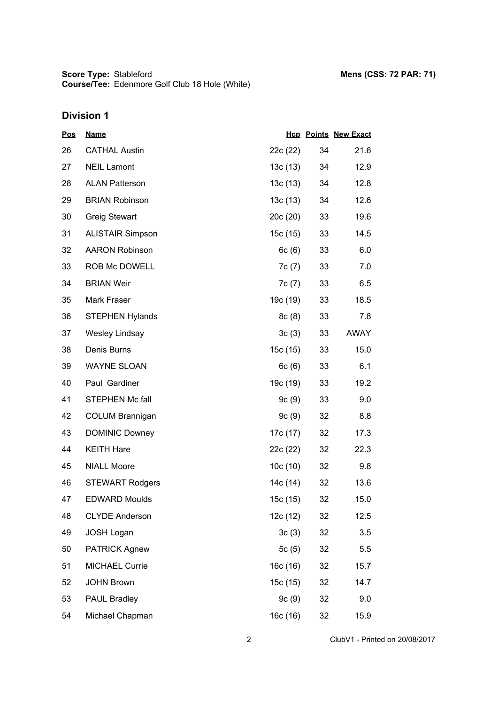| <u>Pos</u> | <b>Name</b>             |          |    | <b>Hcp Points New Exact</b> |
|------------|-------------------------|----------|----|-----------------------------|
| 26         | <b>CATHAL Austin</b>    | 22c (22) | 34 | 21.6                        |
| 27         | <b>NEIL Lamont</b>      | 13c (13) | 34 | 12.9                        |
| 28         | <b>ALAN Patterson</b>   | 13c (13) | 34 | 12.8                        |
| 29         | <b>BRIAN Robinson</b>   | 13c(13)  | 34 | 12.6                        |
| 30         | <b>Greig Stewart</b>    | 20c(20)  | 33 | 19.6                        |
| 31         | <b>ALISTAIR Simpson</b> | 15c (15) | 33 | 14.5                        |
| 32         | <b>AARON Robinson</b>   | 6c(6)    | 33 | 6.0                         |
| 33         | ROB Mc DOWELL           | 7c (7)   | 33 | 7.0                         |
| 34         | <b>BRIAN Weir</b>       | 7c (7)   | 33 | 6.5                         |
| 35         | Mark Fraser             | 19c (19) | 33 | 18.5                        |
| 36         | <b>STEPHEN Hylands</b>  | 8c(8)    | 33 | 7.8                         |
| 37         | <b>Wesley Lindsay</b>   | 3c(3)    | 33 | AWAY                        |
| 38         | Denis Burns             | 15c(15)  | 33 | 15.0                        |
| 39         | <b>WAYNE SLOAN</b>      | 6c(6)    | 33 | 6.1                         |
| 40         | Paul Gardiner           | 19c (19) | 33 | 19.2                        |
| 41         | <b>STEPHEN Mc fall</b>  | 9c(9)    | 33 | 9.0                         |
| 42         | <b>COLUM Brannigan</b>  | 9c(9)    | 32 | 8.8                         |
| 43         | <b>DOMINIC Downey</b>   | 17c (17) | 32 | 17.3                        |
| 44         | <b>KEITH Hare</b>       | 22c (22) | 32 | 22.3                        |
| 45         | <b>NIALL Moore</b>      | 10c(10)  | 32 | 9.8                         |
| 46         | <b>STEWART Rodgers</b>  | 14c (14) | 32 | 13.6                        |
| 47         | <b>EDWARD Moulds</b>    | 15c (15) | 32 | 15.0                        |
| 48         | <b>CLYDE Anderson</b>   | 12c (12) | 32 | 12.5                        |
| 49         | <b>JOSH Logan</b>       | 3c(3)    | 32 | 3.5                         |
| 50         | <b>PATRICK Agnew</b>    | 5c(5)    | 32 | 5.5                         |
| 51         | <b>MICHAEL Currie</b>   | 16c (16) | 32 | 15.7                        |
| 52         | <b>JOHN Brown</b>       | 15c (15) | 32 | 14.7                        |
| 53         | PAUL Bradley            | 9c(9)    | 32 | 9.0                         |
| 54         | Michael Chapman         | 16c (16) | 32 | 15.9                        |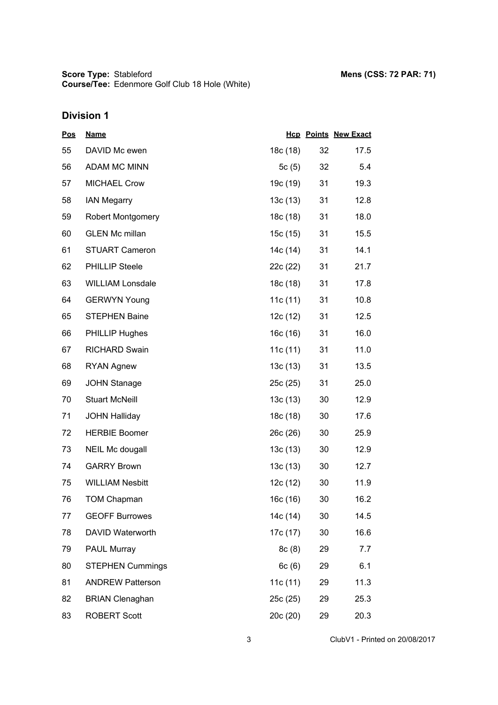| <u>Pos</u> | <b>Name</b>              |          |    | <b>Hcp Points New Exact</b> |
|------------|--------------------------|----------|----|-----------------------------|
| 55         | DAVID Mc ewen            | 18c (18) | 32 | 17.5                        |
| 56         | ADAM MC MINN             | 5c(5)    | 32 | 5.4                         |
| 57         | <b>MICHAEL Crow</b>      | 19c (19) | 31 | 19.3                        |
| 58         | <b>IAN Megarry</b>       | 13c(13)  | 31 | 12.8                        |
| 59         | <b>Robert Montgomery</b> | 18c (18) | 31 | 18.0                        |
| 60         | <b>GLEN Mc millan</b>    | 15c (15) | 31 | 15.5                        |
| 61         | <b>STUART Cameron</b>    | 14c (14) | 31 | 14.1                        |
| 62         | <b>PHILLIP Steele</b>    | 22c (22) | 31 | 21.7                        |
| 63         | <b>WILLIAM Lonsdale</b>  | 18c (18) | 31 | 17.8                        |
| 64         | <b>GERWYN Young</b>      | 11c(11)  | 31 | 10.8                        |
| 65         | <b>STEPHEN Baine</b>     | 12c (12) | 31 | 12.5                        |
| 66         | <b>PHILLIP Hughes</b>    | 16c(16)  | 31 | 16.0                        |
| 67         | <b>RICHARD Swain</b>     | 11c(11)  | 31 | 11.0                        |
| 68         | <b>RYAN Agnew</b>        | 13c(13)  | 31 | 13.5                        |
| 69         | <b>JOHN Stanage</b>      | 25c (25) | 31 | 25.0                        |
| 70         | <b>Stuart McNeill</b>    | 13c(13)  | 30 | 12.9                        |
| 71         | <b>JOHN Halliday</b>     | 18c (18) | 30 | 17.6                        |
| 72         | <b>HERBIE Boomer</b>     | 26c (26) | 30 | 25.9                        |
| 73         | <b>NEIL Mc dougall</b>   | 13c(13)  | 30 | 12.9                        |
| 74         | <b>GARRY Brown</b>       | 13c(13)  | 30 | 12.7                        |
| 75         | <b>WILLIAM Nesbitt</b>   | 12c(12)  | 30 | 11.9                        |
| 76         | <b>TOM Chapman</b>       | 16c (16) | 30 | 16.2                        |
| 77         | <b>GEOFF Burrowes</b>    | 14c (14) | 30 | 14.5                        |
| 78         | DAVID Waterworth         | 17c (17) | 30 | 16.6                        |
| 79         | PAUL Murray              | 8c(8)    | 29 | 7.7                         |
| 80         | <b>STEPHEN Cummings</b>  | 6c(6)    | 29 | 6.1                         |
| 81         | <b>ANDREW Patterson</b>  | 11c(11)  | 29 | 11.3                        |
| 82         | <b>BRIAN Clenaghan</b>   | 25c (25) | 29 | 25.3                        |
| 83         | <b>ROBERT Scott</b>      | 20c (20) | 29 | 20.3                        |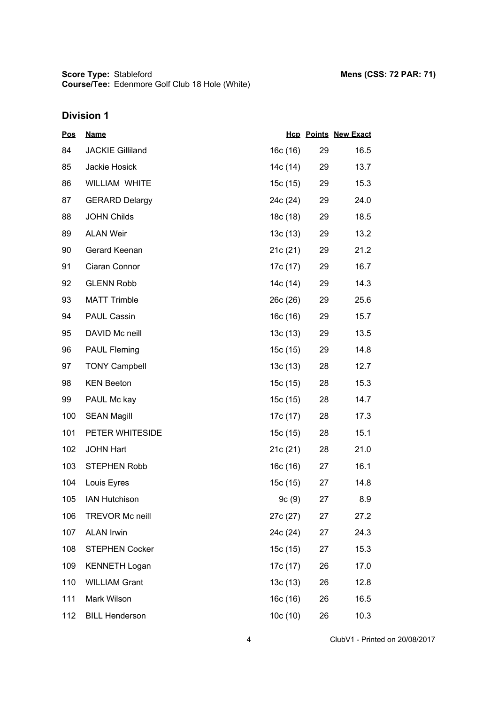| <u>Pos</u> | <b>Name</b>             |          |    | <b>Hcp Points New Exact</b> |
|------------|-------------------------|----------|----|-----------------------------|
| 84         | <b>JACKIE Gilliland</b> | 16c (16) | 29 | 16.5                        |
| 85         | Jackie Hosick           | 14c (14) | 29 | 13.7                        |
| 86         | WILLIAM WHITE           | 15c (15) | 29 | 15.3                        |
| 87         | <b>GERARD Delargy</b>   | 24c (24) | 29 | 24.0                        |
| 88         | <b>JOHN Childs</b>      | 18c (18) | 29 | 18.5                        |
| 89         | <b>ALAN Weir</b>        | 13c(13)  | 29 | 13.2                        |
| 90         | Gerard Keenan           | 21c(21)  | 29 | 21.2                        |
| 91         | Ciaran Connor           | 17c (17) | 29 | 16.7                        |
| 92         | <b>GLENN Robb</b>       | 14c (14) | 29 | 14.3                        |
| 93         | <b>MATT Trimble</b>     | 26c (26) | 29 | 25.6                        |
| 94         | PAUL Cassin             | 16c (16) | 29 | 15.7                        |
| 95         | DAVID Mc neill          | 13c(13)  | 29 | 13.5                        |
| 96         | <b>PAUL Fleming</b>     | 15c (15) | 29 | 14.8                        |
| 97         | <b>TONY Campbell</b>    | 13c(13)  | 28 | 12.7                        |
| 98         | <b>KEN Beeton</b>       | 15c (15) | 28 | 15.3                        |
| 99         | PAUL Mc kay             | 15c (15) | 28 | 14.7                        |
| 100        | <b>SEAN Magill</b>      | 17c (17) | 28 | 17.3                        |
| 101        | PETER WHITESIDE         | 15c (15) | 28 | 15.1                        |
| 102        | <b>JOHN Hart</b>        | 21c(21)  | 28 | 21.0                        |
| 103        | <b>STEPHEN Robb</b>     | 16c(16)  | 27 | 16.1                        |
| 104        | Louis Eyres             | 15c (15) | 27 | 14.8                        |
| 105        | <b>IAN Hutchison</b>    | 9c(9)    | 27 | 8.9                         |
| 106        | <b>TREVOR Mc neill</b>  | 27c (27) | 27 | 27.2                        |
| 107        | <b>ALAN Irwin</b>       | 24c (24) | 27 | 24.3                        |
| 108        | <b>STEPHEN Cocker</b>   | 15c (15) | 27 | 15.3                        |
| 109        | <b>KENNETH Logan</b>    | 17c (17) | 26 | 17.0                        |
| 110        | <b>WILLIAM Grant</b>    | 13c(13)  | 26 | 12.8                        |
| 111        | Mark Wilson             | 16c (16) | 26 | 16.5                        |
| 112        | <b>BILL Henderson</b>   | 10c(10)  | 26 | 10.3                        |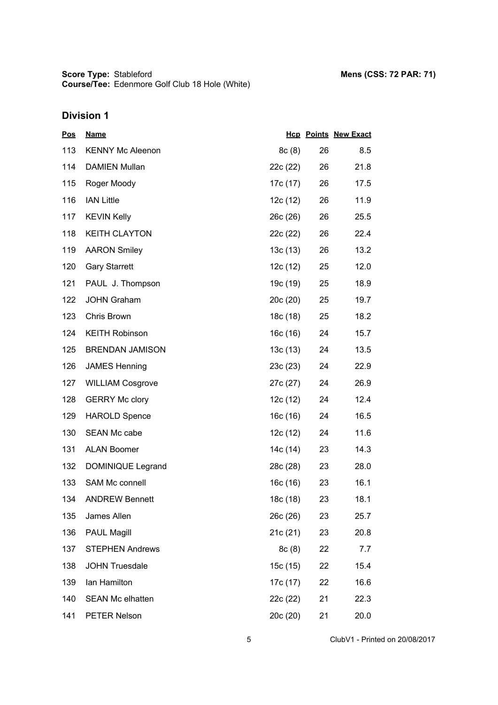**Score Type: Course/Tee:** Stableford **Mens (CSS: 72 PAR: 71)** Edenmore Golf Club 18 Hole (White)

| <u>Pos</u> | <b>Name</b>             |          |    | <b>Hcp Points New Exact</b> |
|------------|-------------------------|----------|----|-----------------------------|
| 113        | <b>KENNY Mc Aleenon</b> | 8c(8)    | 26 | 8.5                         |
| 114        | <b>DAMIEN Mullan</b>    | 22c (22) | 26 | 21.8                        |
| 115        | Roger Moody             | 17c (17) | 26 | 17.5                        |
| 116        | <b>IAN Little</b>       | 12c (12) | 26 | 11.9                        |
| 117        | <b>KEVIN Kelly</b>      | 26c (26) | 26 | 25.5                        |
| 118        | <b>KEITH CLAYTON</b>    | 22c (22) | 26 | 22.4                        |
| 119        | <b>AARON Smiley</b>     | 13c(13)  | 26 | 13.2                        |
| 120        | <b>Gary Starrett</b>    | 12c (12) | 25 | 12.0                        |
| 121        | PAUL J. Thompson        | 19c (19) | 25 | 18.9                        |
| 122        | <b>JOHN Graham</b>      | 20c(20)  | 25 | 19.7                        |
| 123        | Chris Brown             | 18c (18) | 25 | 18.2                        |
| 124        | <b>KEITH Robinson</b>   | 16c (16) | 24 | 15.7                        |
| 125        | <b>BRENDAN JAMISON</b>  | 13c(13)  | 24 | 13.5                        |
| 126        | <b>JAMES Henning</b>    | 23c (23) | 24 | 22.9                        |
| 127        | <b>WILLIAM Cosgrove</b> | 27c (27) | 24 | 26.9                        |
| 128        | <b>GERRY Mc clory</b>   | 12c (12) | 24 | 12.4                        |
| 129        | <b>HAROLD Spence</b>    | 16c (16) | 24 | 16.5                        |
| 130        | SEAN Mc cabe            | 12c (12) | 24 | 11.6                        |
| 131        | <b>ALAN Boomer</b>      | 14c (14) | 23 | 14.3                        |
| 132        | DOMINIQUE Legrand       | 28c (28) | 23 | 28.0                        |
| 133        | SAM Mc connell          | 16c (16) | 23 | 16.1                        |
| 134        | <b>ANDREW Bennett</b>   | 18c (18) | 23 | 18.1                        |
| 135        | James Allen             | 26c (26) | 23 | 25.7                        |
| 136        | <b>PAUL Magill</b>      | 21c (21) | 23 | 20.8                        |
| 137        | <b>STEPHEN Andrews</b>  | 8c(8)    | 22 | 7.7                         |
| 138        | <b>JOHN Truesdale</b>   | 15c (15) | 22 | 15.4                        |
| 139        | Ian Hamilton            | 17c (17) | 22 | 16.6                        |
| 140        | SEAN Mc elhatten        | 22c (22) | 21 | 22.3                        |
| 141        | PETER Nelson            | 20c (20) | 21 | 20.0                        |